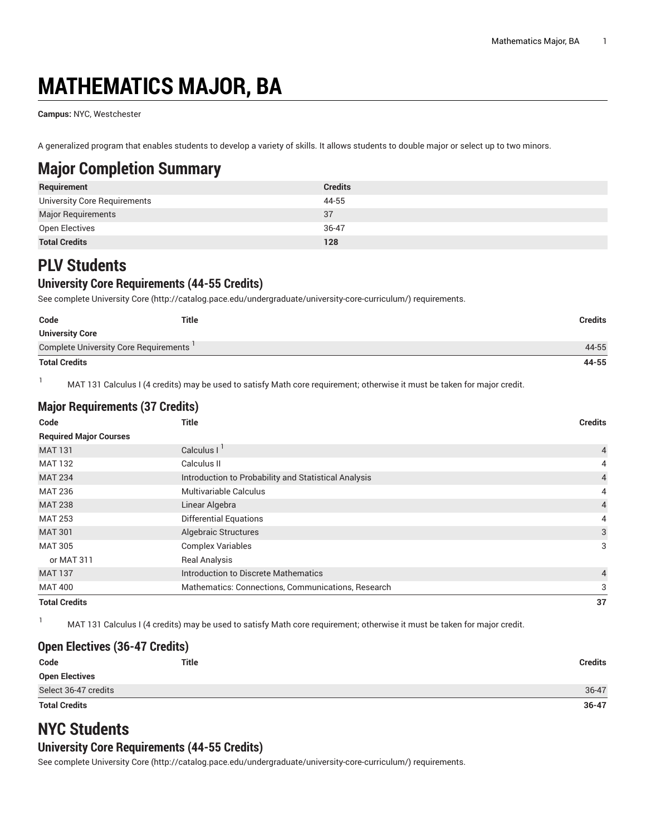# **MATHEMATICS MAJOR, BA**

**Campus:** NYC, Westchester

A generalized program that enables students to develop a variety of skills. It allows students to double major or select up to two minors.

# **Major Completion Summary**

| Requirement                  | <b>Credits</b> |
|------------------------------|----------------|
| University Core Requirements | 44-55          |
| Major Requirements           | 37             |
| Open Electives               | 36-47          |
| <b>Total Credits</b>         | 128            |

# **PLV Students**

### **University Core Requirements (44-55 Credits)**

See complete [University](http://catalog.pace.edu/undergraduate/university-core-curriculum/) Core (<http://catalog.pace.edu/undergraduate/university-core-curriculum/>) requirements.

| Code                                  | <b>Title</b> | <b>Credits</b> |
|---------------------------------------|--------------|----------------|
| <b>University Core</b>                |              |                |
| Complete University Core Requirements |              | 44-55          |
| <b>Total Credits</b>                  |              | 44-55          |

1 MAT 131 Calculus I (4 credits) may be used to satisfy Math core requirement; otherwise it must be taken for major credit.

| <b>Major Requirements (37 Credits)</b> |                                                      |                |
|----------------------------------------|------------------------------------------------------|----------------|
| Code                                   | Title                                                | <b>Credits</b> |
| <b>Required Major Courses</b>          |                                                      |                |
| <b>MAT 131</b>                         | Calculus $I1$                                        | $\overline{4}$ |
| <b>MAT 132</b>                         | Calculus II                                          | 4              |
| <b>MAT 234</b>                         | Introduction to Probability and Statistical Analysis | $\overline{4}$ |
| <b>MAT 236</b>                         | Multivariable Calculus                               | 4              |
| <b>MAT 238</b>                         | Linear Algebra                                       | $\overline{4}$ |
| <b>MAT 253</b>                         | <b>Differential Equations</b>                        | 4              |
| <b>MAT 301</b>                         | Algebraic Structures                                 | 3              |
| <b>MAT 305</b>                         | <b>Complex Variables</b>                             | 3              |
| or MAT 311                             | <b>Real Analysis</b>                                 |                |
| <b>MAT 137</b>                         | Introduction to Discrete Mathematics                 | $\overline{4}$ |
| <b>MAT 400</b>                         | Mathematics: Connections, Communications, Research   | 3              |
| <b>Total Credits</b>                   |                                                      | 37             |

1 MAT 131 Calculus I (4 credits) may be used to satisfy Math core requirement; otherwise it must be taken for major credit.

#### **Open Electives (36-47 Credits)**

| Code                  | <b>Title</b> | <b>Credits</b> |
|-----------------------|--------------|----------------|
| <b>Open Electives</b> |              |                |
| Select 36-47 credits  |              | 36-47          |
| <b>Total Credits</b>  |              | $36 - 47$      |

## **NYC Students**

#### **University Core Requirements (44-55 Credits)**

See complete [University](http://catalog.pace.edu/undergraduate/university-core-curriculum/) Core (<http://catalog.pace.edu/undergraduate/university-core-curriculum/>) requirements.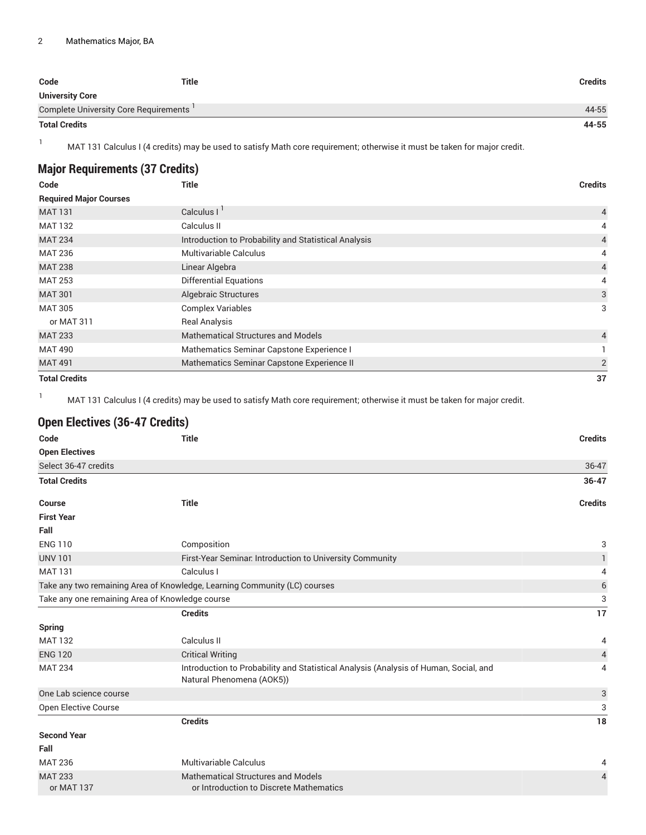| Code                                  | Title | <b>Credits</b> |
|---------------------------------------|-------|----------------|
| <b>University Core</b>                |       |                |
| Complete University Core Requirements |       | 44-55          |
| <b>Total Credits</b>                  |       | 44-55          |

<sup>1</sup> MAT 131 Calculus I (4 credits) may be used to satisfy Math core requirement; otherwise it must be taken for major credit.

| <b>Major Requirements (37 Credits)</b> |                                                      |                |
|----------------------------------------|------------------------------------------------------|----------------|
| Code                                   | <b>Title</b>                                         | <b>Credits</b> |
| <b>Required Major Courses</b>          |                                                      |                |
| <b>MAT 131</b>                         | Calculus $I1$                                        | 4              |
| <b>MAT 132</b>                         | Calculus II                                          | 4              |
| <b>MAT 234</b>                         | Introduction to Probability and Statistical Analysis | 4              |
| <b>MAT 236</b>                         | <b>Multivariable Calculus</b>                        | 4              |
| <b>MAT 238</b>                         | Linear Algebra                                       | $\overline{4}$ |
| <b>MAT 253</b>                         | <b>Differential Equations</b>                        | 4              |
| <b>MAT 301</b>                         | <b>Algebraic Structures</b>                          | 3              |
| <b>MAT 305</b>                         | <b>Complex Variables</b>                             | 3              |
| or MAT 311                             | <b>Real Analysis</b>                                 |                |
| <b>MAT 233</b>                         | <b>Mathematical Structures and Models</b>            | $\overline{4}$ |
| <b>MAT 490</b>                         | Mathematics Seminar Capstone Experience I            |                |
| <b>MAT 491</b>                         | Mathematics Seminar Capstone Experience II           | $\overline{2}$ |
| <b>Total Credits</b>                   |                                                      | 37             |

1 MAT 131 Calculus I (4 credits) may be used to satisfy Math core requirement; otherwise it must be taken for major credit.

### **Open Electives (36-47 Credits)**

| Code                   | <b>Title</b>                                                                                                      | <b>Credits</b> |
|------------------------|-------------------------------------------------------------------------------------------------------------------|----------------|
| <b>Open Electives</b>  |                                                                                                                   |                |
| Select 36-47 credits   |                                                                                                                   | 36-47          |
| <b>Total Credits</b>   |                                                                                                                   | $36 - 47$      |
| <b>Course</b>          | <b>Title</b>                                                                                                      | <b>Credits</b> |
| <b>First Year</b>      |                                                                                                                   |                |
| Fall                   |                                                                                                                   |                |
| <b>ENG 110</b>         | Composition                                                                                                       | 3              |
| <b>UNV 101</b>         | First-Year Seminar. Introduction to University Community                                                          | 1              |
| <b>MAT 131</b>         | Calculus I                                                                                                        | 4              |
|                        | Take any two remaining Area of Knowledge, Learning Community (LC) courses                                         | $\,$ 6 $\,$    |
|                        | Take any one remaining Area of Knowledge course                                                                   | 3              |
|                        | <b>Credits</b>                                                                                                    | 17             |
| <b>Spring</b>          |                                                                                                                   |                |
| <b>MAT 132</b>         | Calculus II                                                                                                       | 4              |
| <b>ENG 120</b>         | <b>Critical Writing</b>                                                                                           | $\overline{4}$ |
| <b>MAT 234</b>         | Introduction to Probability and Statistical Analysis (Analysis of Human, Social, and<br>Natural Phenomena (AOK5)) | 4              |
| One Lab science course |                                                                                                                   | 3              |
| Open Elective Course   |                                                                                                                   | 3              |
|                        | <b>Credits</b>                                                                                                    | 18             |
| <b>Second Year</b>     |                                                                                                                   |                |
| Fall                   |                                                                                                                   |                |
| <b>MAT 236</b>         | <b>Multivariable Calculus</b>                                                                                     | 4              |
| <b>MAT 233</b>         | <b>Mathematical Structures and Models</b>                                                                         | $\overline{4}$ |
| or MAT 137             | or Introduction to Discrete Mathematics                                                                           |                |